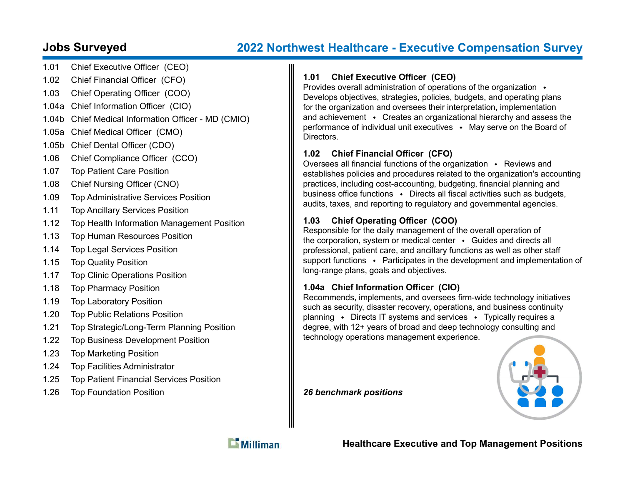# Jobs Surveyed 2022 Northwest Healthcare - Executive Compensation Survey

- 1.01 Chief Executive Officer (CEO)
- 1.02 Chief Financial Officer (CFO)
- 1.03 Chief Operating Officer (COO)
- 1.04a Chief Information Officer (CIO)
- 1.04b Chief Medical Information Officer MD (CMIO)
- 1.05a Chief Medical Officer (CMO)
- 1.05b Chief Dental Officer (CDO)
- 1.06 Chief Compliance Officer (CCO)
- 1.07 Top Patient Care Position
- 1.08 Chief Nursing Officer (CNO)
- 1.09 Top Administrative Services Position
- 1.11 Top Ancillary Services Position
- 1.12 Top Health Information Management Position
- 1.13 Top Human Resources Position
- 1.14 Top Legal Services Position
- 1.15 Top Quality Position
- 1.17 Top Clinic Operations Position
- 1.18 Top Pharmacy Position
- 1.19 Top Laboratory Position
- 1.20 Top Public Relations Position
- 1.21 Top Strategic/Long-Term Planning Position
- 1.22 Top Business Development Position
- 1.23 Top Marketing Position
- 1.24 Top Facilities Administrator
- 1.25 Top Patient Financial Services Position
- 1.26 Top Foundation Position

# 1.01 Chief Executive Officer (CEO)

Provides overall administration of operations of the organization  $\cdot$ Develops objectives, strategies, policies, budgets, and operating plans for the organization and oversees their interpretation, implementation and achievement  $\cdot$  Creates an organizational hierarchy and assess the performance of individual unit executives  $\cdot$  May serve on the Board of **Directors** 

# 1.02 Chief Financial Officer (CFO)

Oversees all financial functions of the organization  $\cdot$  Reviews and establishes policies and procedures related to the organization's accounting practices, including cost-accounting, budgeting, financial planning and business office functions  $\cdot$  Directs all fiscal activities such as budgets, audits, taxes, and reporting to regulatory and governmental agencies.

# 1.03 Chief Operating Officer (COO)

Responsible for the daily management of the overall operation of the corporation, system or medical center  $\cdot$  Guides and directs all professional, patient care, and ancillary functions as well as other staff support functions • Participates in the development and implementation of long-range plans, goals and objectives.

# 1.04a Chief Information Officer (CIO)

Recommends, implements, and oversees firm-wide technology initiatives such as security, disaster recovery, operations, and business continuity planning  $\cdot$  Directs IT systems and services  $\cdot$  Typically requires a degree, with 12+ years of broad and deep technology consulting and technology operations management experience.

26 benchmark positions





Healthcare Executive and Top Management Positions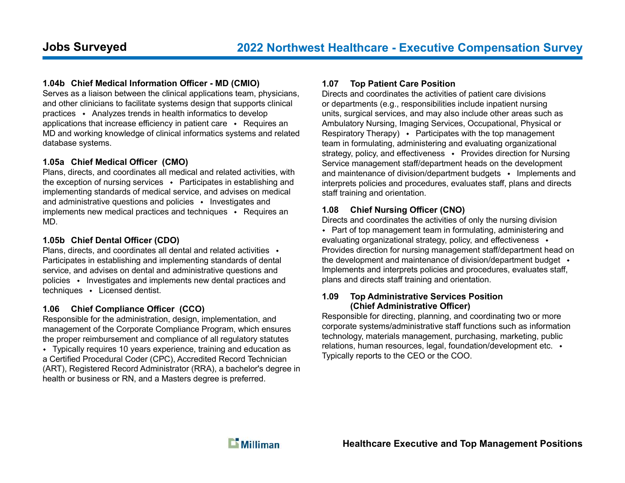#### 1.04b Chief Medical Information Officer - MD (CMIO)

Serves as a liaison between the clinical applications team, physicians, and other clinicians to facilitate systems design that supports clinical practices  $\leftrightarrow$  Analyzes trends in health informatics to develop applications that increase efficiency in patient care  $\cdot$  Requires an MD and working knowledge of clinical informatics systems and related database systems.

#### 1.05a Chief Medical Officer (CMO)

Plans, directs, and coordinates all medical and related activities, with the exception of nursing services  $\rightarrow$  Participates in establishing and implementing standards of medical service, and advises on medical and administrative questions and policies  $\cdot$  Investigates and implements new medical practices and techniques  $\cdot$  Requires an MD.

#### 1.05b Chief Dental Officer (CDO)

Plans, directs, and coordinates all dental and related activities  $\rightarrow$ Participates in establishing and implementing standards of dental service, and advises on dental and administrative questions and policies • Investigates and implements new dental practices and  $techniques \rightarrow Lieensed$  dentist.

#### 1.06 Chief Compliance Officer (CCO)

Responsible for the administration, design, implementation, and management of the Corporate Compliance Program, which ensures the proper reimbursement and compliance of all regulatory statutes

Typically requires 10 years experience, training and education as a Certified Procedural Coder (CPC), Accredited Record Technician (ART), Registered Record Administrator (RRA), a bachelor's degree in health or business or RN, and a Masters degree is preferred.

#### 1.07 Top Patient Care Position

Directs and coordinates the activities of patient care divisions or departments (e.g., responsibilities include inpatient nursing units, surgical services, and may also include other areas such as Ambulatory Nursing, Imaging Services, Occupational, Physical or Respiratory Therapy)  $\bullet$  Participates with the top management team in formulating, administering and evaluating organizational strategy, policy, and effectiveness  $\rightarrow$  Provides direction for Nursing Service management staff/department heads on the development and maintenance of division/department budgets  $\cdot$  Implements and interprets policies and procedures, evaluates staff, plans and directs staff training and orientation.

### 1.08 Chief Nursing Officer (CNO)

Directs and coordinates the activities of only the nursing division • Part of top management team in formulating, administering and evaluating organizational strategy, policy, and effectiveness  $\cdot$ Provides direction for nursing management staff/department head on the development and maintenance of division/department budget  $\rightarrow$ Implements and interprets policies and procedures, evaluates staff, plans and directs staff training and orientation.

#### 1.09 Top Administrative Services Position (Chief Administrative Officer)

Responsible for directing, planning, and coordinating two or more corporate systems/administrative staff functions such as information technology, materials management, purchasing, marketing, public relations, human resources, legal, foundation/development etc. Typically reports to the CEO or the COO.

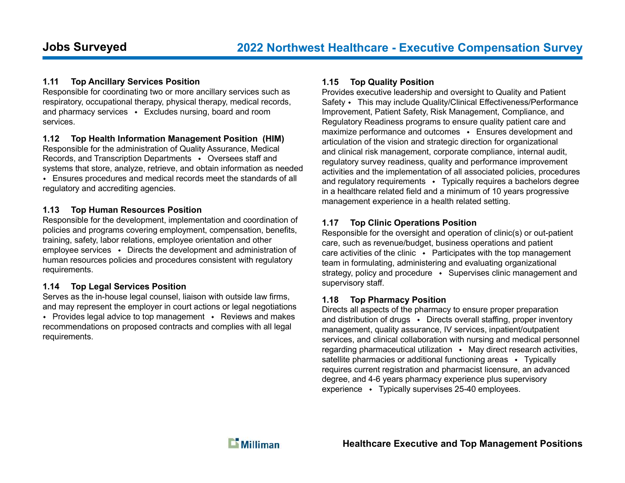# 1.11 Top Ancillary Services Position

Responsible for coordinating two or more ancillary services such as respiratory, occupational therapy, physical therapy, medical records, and pharmacy services  $\cdot$  Excludes nursing, board and room services.

### 1.12 Top Health Information Management Position (HIM)

Responsible for the administration of Quality Assurance, Medical Records, and Transcription Departments • Oversees staff and systems that store, analyze, retrieve, and obtain information as needed Ensures procedures and medical records meet the standards of all regulatory and accrediting agencies.

#### 1.13 Top Human Resources Position

Responsible for the development, implementation and coordination of policies and programs covering employment, compensation, benefits, training, safety, labor relations, employee orientation and other employee services  $\cdot$  Directs the development and administration of human resources policies and procedures consistent with regulatory requirements.

# 1.14 Top Legal Services Position

requirements.

Serves as the in-house legal counsel, liaison with outside law firms, and may represent the employer in court actions or legal negotiations • Provides legal advice to top management • Reviews and makes recommendations on proposed contracts and complies with all legal

# 1.15 Top Quality Position

Provides executive leadership and oversight to Quality and Patient Safety • This may include Quality/Clinical Effectiveness/Performance Improvement, Patient Safety, Risk Management, Compliance, and Regulatory Readiness programs to ensure quality patient care and maximize performance and outcomes  $\cdot$  Ensures development and articulation of the vision and strategic direction for organizational and clinical risk management, corporate compliance, internal audit, regulatory survey readiness, quality and performance improvement activities and the implementation of all associated policies, procedures and regulatory requirements  $\cdot$  Typically requires a bachelors degree in a healthcare related field and a minimum of 10 years progressive management experience in a health related setting.

# 1.17 Top Clinic Operations Position

Responsible for the oversight and operation of clinic(s) or out-patient care, such as revenue/budget, business operations and patient care activities of the clinic  $\cdot$  Participates with the top management team in formulating, administering and evaluating organizational strategy, policy and procedure  $\rightarrow$  Supervises clinic management and supervisory staff.

# 1.18 Top Pharmacy Position

Directs all aspects of the pharmacy to ensure proper preparation and distribution of drugs  $\cdot$  Directs overall staffing, proper inventory management, quality assurance, IV services, inpatient/outpatient services, and clinical collaboration with nursing and medical personnel regarding pharmaceutical utilization  $\rightarrow$  May direct research activities, satellite pharmacies or additional functioning areas  $\cdot$  Typically requires current registration and pharmacist licensure, an advanced degree, and 4-6 years pharmacy experience plus supervisory experience  $\cdot$  Typically supervises 25-40 employees.